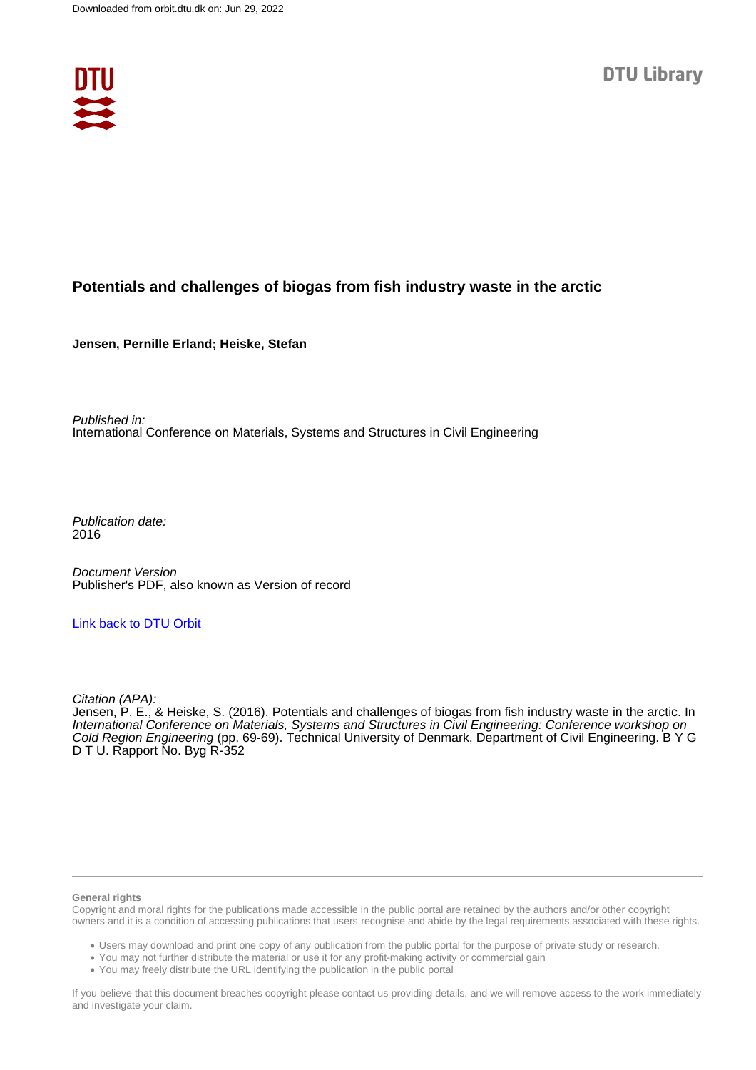

# **Potentials and challenges of biogas from fish industry waste in the arctic**

**Jensen, Pernille Erland; Heiske, Stefan**

Published in: International Conference on Materials, Systems and Structures in Civil Engineering

Publication date: 2016

Document Version Publisher's PDF, also known as Version of record

### [Link back to DTU Orbit](https://orbit.dtu.dk/en/publications/87ee92ab-7690-4e22-bc41-b37324270fcf)

Citation (APA):

Jensen, P. E., & Heiske, S. (2016). Potentials and challenges of biogas from fish industry waste in the arctic. In International Conference on Materials, Systems and Structures in Civil Engineering: Conference workshop on Cold Region Engineering (pp. 69-69). Technical University of Denmark, Department of Civil Engineering. B Y G D T U. Rapport No. Byg R-352

#### **General rights**

Copyright and moral rights for the publications made accessible in the public portal are retained by the authors and/or other copyright owners and it is a condition of accessing publications that users recognise and abide by the legal requirements associated with these rights.

Users may download and print one copy of any publication from the public portal for the purpose of private study or research.

- You may not further distribute the material or use it for any profit-making activity or commercial gain
- You may freely distribute the URL identifying the publication in the public portal

If you believe that this document breaches copyright please contact us providing details, and we will remove access to the work immediately and investigate your claim.